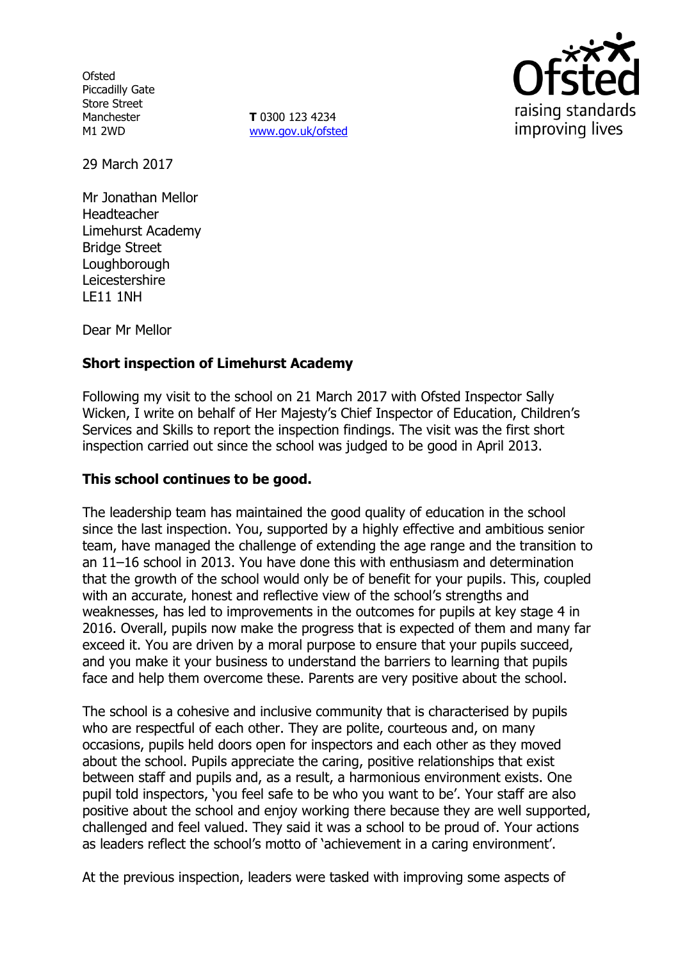**Ofsted** Piccadilly Gate Store Street Manchester M1 2WD

**T** 0300 123 4234 www.gov.uk/ofsted



29 March 2017

Mr Jonathan Mellor Headteacher Limehurst Academy Bridge Street **Loughborough** Leicestershire LE11 1NH

Dear Mr Mellor

# **Short inspection of Limehurst Academy**

Following my visit to the school on 21 March 2017 with Ofsted Inspector Sally Wicken, I write on behalf of Her Majesty's Chief Inspector of Education, Children's Services and Skills to report the inspection findings. The visit was the first short inspection carried out since the school was judged to be good in April 2013.

### **This school continues to be good.**

The leadership team has maintained the good quality of education in the school since the last inspection. You, supported by a highly effective and ambitious senior team, have managed the challenge of extending the age range and the transition to an 11–16 school in 2013. You have done this with enthusiasm and determination that the growth of the school would only be of benefit for your pupils. This, coupled with an accurate, honest and reflective view of the school's strengths and weaknesses, has led to improvements in the outcomes for pupils at key stage 4 in 2016. Overall, pupils now make the progress that is expected of them and many far exceed it. You are driven by a moral purpose to ensure that your pupils succeed, and you make it your business to understand the barriers to learning that pupils face and help them overcome these. Parents are very positive about the school.

The school is a cohesive and inclusive community that is characterised by pupils who are respectful of each other. They are polite, courteous and, on many occasions, pupils held doors open for inspectors and each other as they moved about the school. Pupils appreciate the caring, positive relationships that exist between staff and pupils and, as a result, a harmonious environment exists. One pupil told inspectors, 'you feel safe to be who you want to be'. Your staff are also positive about the school and enjoy working there because they are well supported, challenged and feel valued. They said it was a school to be proud of. Your actions as leaders reflect the school's motto of 'achievement in a caring environment'.

At the previous inspection, leaders were tasked with improving some aspects of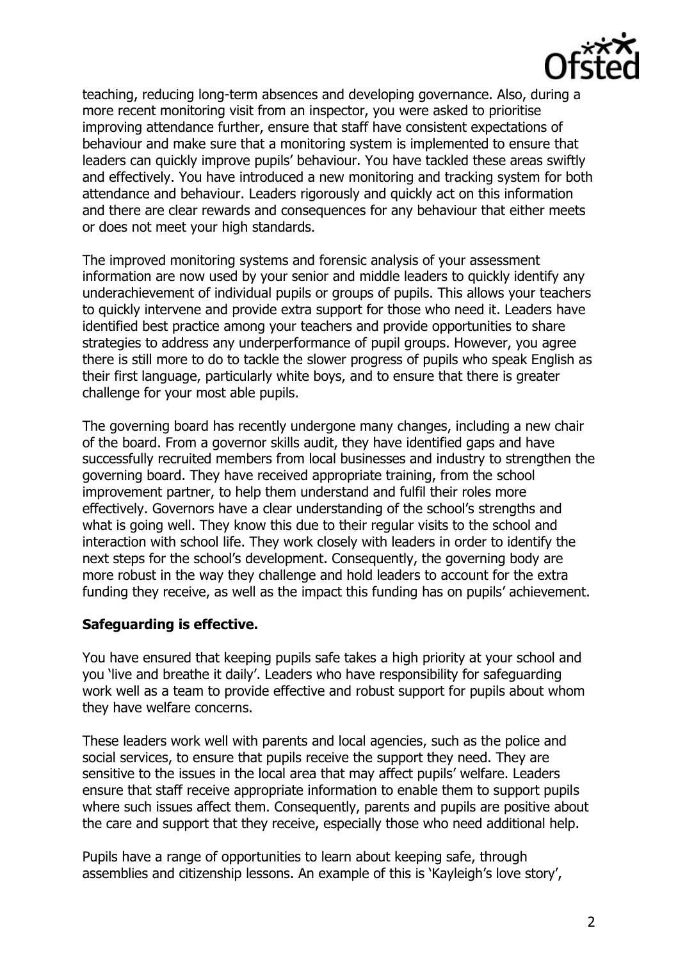

teaching, reducing long-term absences and developing governance. Also, during a more recent monitoring visit from an inspector, you were asked to prioritise improving attendance further, ensure that staff have consistent expectations of behaviour and make sure that a monitoring system is implemented to ensure that leaders can quickly improve pupils' behaviour. You have tackled these areas swiftly and effectively. You have introduced a new monitoring and tracking system for both attendance and behaviour. Leaders rigorously and quickly act on this information and there are clear rewards and consequences for any behaviour that either meets or does not meet your high standards.

The improved monitoring systems and forensic analysis of your assessment information are now used by your senior and middle leaders to quickly identify any underachievement of individual pupils or groups of pupils. This allows your teachers to quickly intervene and provide extra support for those who need it. Leaders have identified best practice among your teachers and provide opportunities to share strategies to address any underperformance of pupil groups. However, you agree there is still more to do to tackle the slower progress of pupils who speak English as their first language, particularly white boys, and to ensure that there is greater challenge for your most able pupils.

The governing board has recently undergone many changes, including a new chair of the board. From a governor skills audit, they have identified gaps and have successfully recruited members from local businesses and industry to strengthen the governing board. They have received appropriate training, from the school improvement partner, to help them understand and fulfil their roles more effectively. Governors have a clear understanding of the school's strengths and what is going well. They know this due to their regular visits to the school and interaction with school life. They work closely with leaders in order to identify the next steps for the school's development. Consequently, the governing body are more robust in the way they challenge and hold leaders to account for the extra funding they receive, as well as the impact this funding has on pupils' achievement.

#### **Safeguarding is effective.**

You have ensured that keeping pupils safe takes a high priority at your school and you 'live and breathe it daily'. Leaders who have responsibility for safeguarding work well as a team to provide effective and robust support for pupils about whom they have welfare concerns.

These leaders work well with parents and local agencies, such as the police and social services, to ensure that pupils receive the support they need. They are sensitive to the issues in the local area that may affect pupils' welfare. Leaders ensure that staff receive appropriate information to enable them to support pupils where such issues affect them. Consequently, parents and pupils are positive about the care and support that they receive, especially those who need additional help.

Pupils have a range of opportunities to learn about keeping safe, through assemblies and citizenship lessons. An example of this is 'Kayleigh's love story',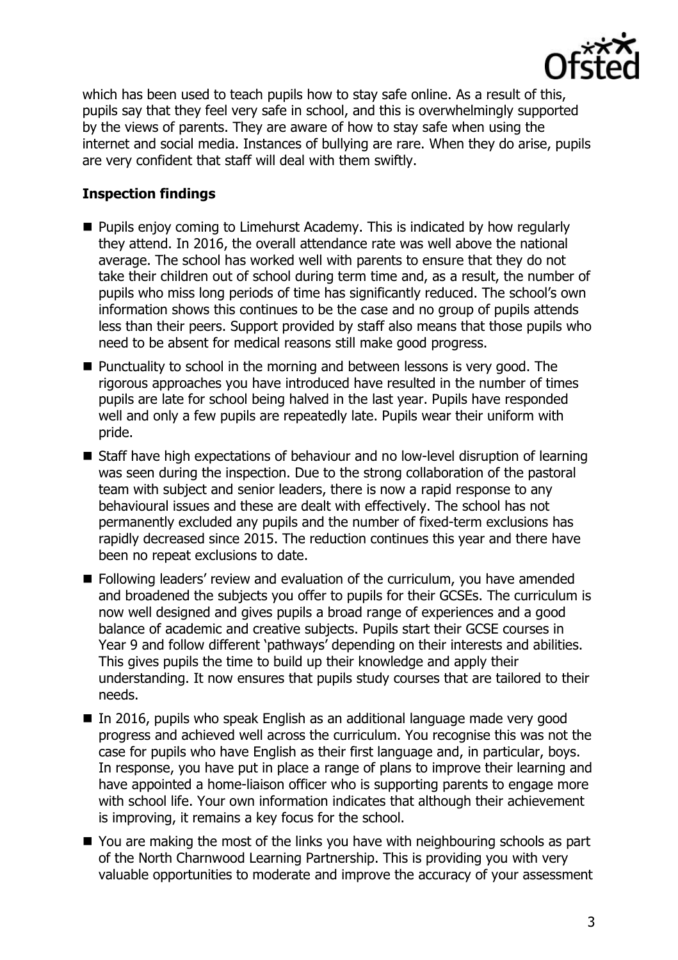

which has been used to teach pupils how to stay safe online. As a result of this, pupils say that they feel very safe in school, and this is overwhelmingly supported by the views of parents. They are aware of how to stay safe when using the internet and social media. Instances of bullying are rare. When they do arise, pupils are very confident that staff will deal with them swiftly.

# **Inspection findings**

- **Pupils enjoy coming to Limehurst Academy. This is indicated by how regularly** they attend. In 2016, the overall attendance rate was well above the national average. The school has worked well with parents to ensure that they do not take their children out of school during term time and, as a result, the number of pupils who miss long periods of time has significantly reduced. The school's own information shows this continues to be the case and no group of pupils attends less than their peers. Support provided by staff also means that those pupils who need to be absent for medical reasons still make good progress.
- Punctuality to school in the morning and between lessons is very good. The rigorous approaches you have introduced have resulted in the number of times pupils are late for school being halved in the last year. Pupils have responded well and only a few pupils are repeatedly late. Pupils wear their uniform with pride.
- Staff have high expectations of behaviour and no low-level disruption of learning was seen during the inspection. Due to the strong collaboration of the pastoral team with subject and senior leaders, there is now a rapid response to any behavioural issues and these are dealt with effectively. The school has not permanently excluded any pupils and the number of fixed-term exclusions has rapidly decreased since 2015. The reduction continues this year and there have been no repeat exclusions to date.
- **Following leaders' review and evaluation of the curriculum, you have amended** and broadened the subjects you offer to pupils for their GCSEs. The curriculum is now well designed and gives pupils a broad range of experiences and a good balance of academic and creative subjects. Pupils start their GCSE courses in Year 9 and follow different 'pathways' depending on their interests and abilities. This gives pupils the time to build up their knowledge and apply their understanding. It now ensures that pupils study courses that are tailored to their needs.
- In 2016, pupils who speak English as an additional language made very good progress and achieved well across the curriculum. You recognise this was not the case for pupils who have English as their first language and, in particular, boys. In response, you have put in place a range of plans to improve their learning and have appointed a home-liaison officer who is supporting parents to engage more with school life. Your own information indicates that although their achievement is improving, it remains a key focus for the school.
- You are making the most of the links you have with neighbouring schools as part of the North Charnwood Learning Partnership. This is providing you with very valuable opportunities to moderate and improve the accuracy of your assessment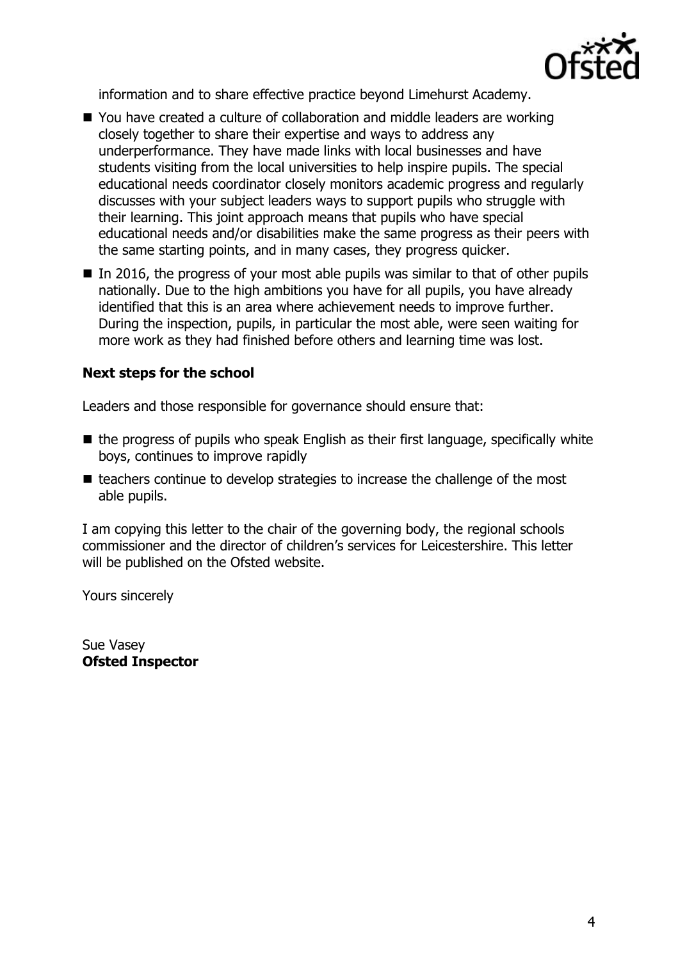

information and to share effective practice beyond Limehurst Academy.

- You have created a culture of collaboration and middle leaders are working closely together to share their expertise and ways to address any underperformance. They have made links with local businesses and have students visiting from the local universities to help inspire pupils. The special educational needs coordinator closely monitors academic progress and regularly discusses with your subject leaders ways to support pupils who struggle with their learning. This joint approach means that pupils who have special educational needs and/or disabilities make the same progress as their peers with the same starting points, and in many cases, they progress quicker.
- $\blacksquare$  In 2016, the progress of your most able pupils was similar to that of other pupils nationally. Due to the high ambitions you have for all pupils, you have already identified that this is an area where achievement needs to improve further. During the inspection, pupils, in particular the most able, were seen waiting for more work as they had finished before others and learning time was lost.

#### **Next steps for the school**

Leaders and those responsible for governance should ensure that:

- $\blacksquare$  the progress of pupils who speak English as their first language, specifically white boys, continues to improve rapidly
- $\blacksquare$  teachers continue to develop strategies to increase the challenge of the most able pupils.

I am copying this letter to the chair of the governing body, the regional schools commissioner and the director of children's services for Leicestershire. This letter will be published on the Ofsted website.

Yours sincerely

Sue Vasey **Ofsted Inspector**